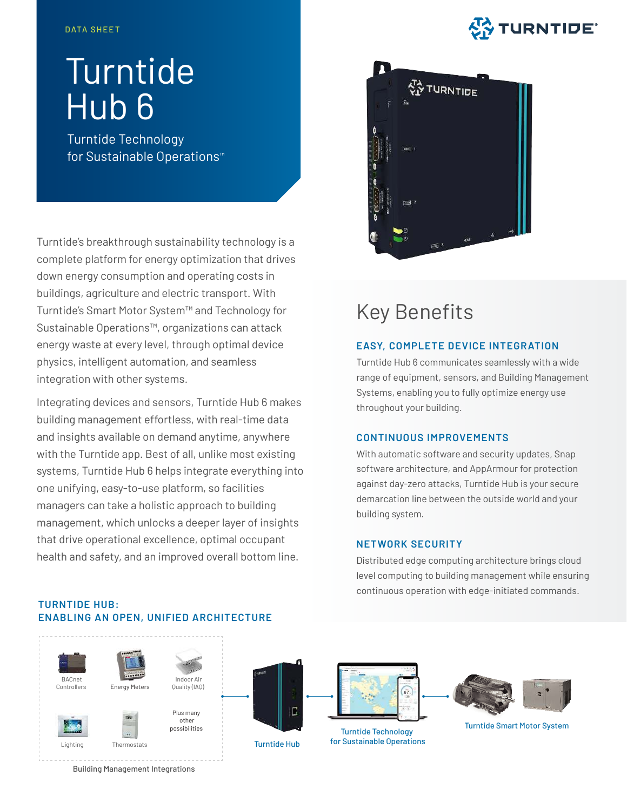# **STURNTIDE**

# **Turntide** Hub 6

Turntide Technology for Sustainable Operations™

Turntide's breakthrough sustainability technology is a complete platform for energy optimization that drives down energy consumption and operating costs in buildings, agriculture and electric transport. With Turntide's Smart Motor System™ and Technology for Sustainable Operations™, organizations can attack energy waste at every level, through optimal device physics, intelligent automation, and seamless integration with other systems.

Integrating devices and sensors, Turntide Hub 6 makes building management effortless, with real-time data and insights available on demand anytime, anywhere with the Turntide app. Best of all, unlike most existing systems, Turntide Hub 6 helps integrate everything into one unifying, easy-to-use platform, so facilities managers can take a holistic approach to building management, which unlocks a deeper layer of insights that drive operational excellence, optimal occupant health and safety, and an improved overall bottom line.



# Key Benefits

# **EASY, COMPLETE DEVICE INTEGRATION**

Turntide Hub 6 communicates seamlessly with a wide range of equipment, sensors, and Building Management Systems, enabling you to fully optimize energy use throughout your building.

## **CONTINUOUS IMPROVEMENTS**

With automatic software and security updates, Snap software architecture, and AppArmour for protection against day-zero attacks, Turntide Hub is your secure demarcation line between the outside world and your building system.

## **NETWORK SECURITY**

Distributed edge computing architecture brings cloud level computing to building management while ensuring continuous operation with edge-initiated commands.

# **TURNTIDE HUB: ENABLING AN OPEN, UNIFIED ARCHITECTURE**



Building Management Integrations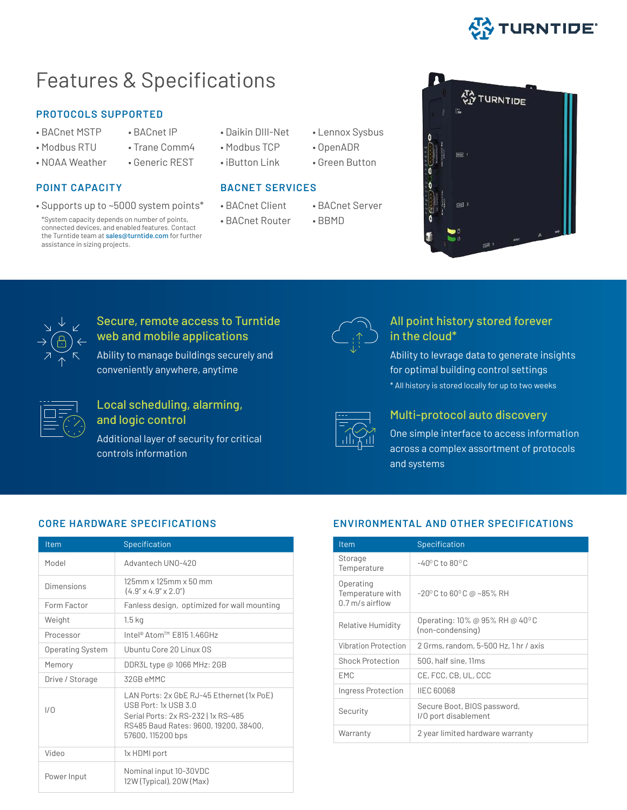

# Features & Specifications

### **PROTOCOLS SUPPORTED**

- 
- 
- Modbus RTU · Trane Comm4 · Modbus TCP · OpenADR
- 

• Supports up to ~5000 system points\* • BACnet Client • BACnet Server

\*System capacity depends on number of points, **BACnet Router** • BBMD connected devices, and enabled features. Contact the Turntide team at sales@turntide.com for further assistance in sizing projects.

- BACnet MSTP · BACnet IP · Daikin DIII-Net · Lennox Sysbus
	-
- NOAA Weather Generic REST iButton Link Green Button

## **POINT CAPACITY BACNET SERVICES**

- 
- 
- 
- -
- 铅 TURNTIDE



# Secure, remote access to Turntide web and mobile applications

Ability to manage buildings securely and conveniently anywhere, anytime

| - |  |
|---|--|
|   |  |
|   |  |
|   |  |
|   |  |

# Local scheduling, alarming,

and logic control

Additional layer of security for critical controls information



# All point history stored forever in the cloud\*

Ability to levrage data to generate insights for optimal building control settings \* All history is stored locally for up to two weeks



# Multi-protocol auto discovery

One simple interface to access information across a complex assortment of protocols and systems

# **CORE HARDWARE SPECIFICATIONS**

| Item                    | Specification                                                                                                                                                                |
|-------------------------|------------------------------------------------------------------------------------------------------------------------------------------------------------------------------|
| Model                   | Advantech UNO-420                                                                                                                                                            |
| Dimensions              | $125$ mm x $125$ mm x $50$ mm<br>$(4.9'' \times 4.9'' \times 2.0'')$                                                                                                         |
| Form Factor             | Fanless design, optimized for wall mounting                                                                                                                                  |
| Weight                  | 1.5 <sub>kg</sub>                                                                                                                                                            |
| Processor               | Intel® Atom™ F815 1.46GHz                                                                                                                                                    |
| <b>Operating System</b> | Ubuntu Core 20 Linux OS                                                                                                                                                      |
| Memory                  | DDR3L type @ 1066 MHz: 2GB                                                                                                                                                   |
| Drive / Storage         | 32GB eMMC                                                                                                                                                                    |
| 1/0                     | LAN Ports: 2x GbE RJ-45 Ethernet (1x PoE)<br>$USB$ Port: $1x$ USB $3.0$<br>Serial Ports: 2x RS-232   1x RS-485<br>RS485 Baud Rates: 9600, 19200, 38400,<br>57600, 115200 bps |
| Video                   | 1x HDMI port                                                                                                                                                                 |
| Power Input             | Nominal input 10-30VDC<br>12W (Typical), 20W (Max)                                                                                                                           |

# **ENVIRONMENTAL AND OTHER SPECIFICATIONS**

| <b>Item</b>                                        | Specification                                       |
|----------------------------------------------------|-----------------------------------------------------|
| Storage<br>Temperature                             | $-40^{\circ}$ C to 80 $^{\circ}$ C                  |
| Operating<br>Temperature with<br>$0.7$ m/s airflow | $-20^{\circ}$ C to 60 $^{\circ}$ C @ ~85% RH        |
| Relative Humidity                                  | Operating: 10% @ 95% RH @ 40°C<br>(non-condensing)  |
| Vibration Protection                               | 2 Grms, random, 5-500 Hz, 1 hr / axis               |
| <b>Shock Protection</b>                            | 50G, half sine, 11ms                                |
| EMC                                                | CE, FCC, CB, UL, CCC                                |
| Ingress Protection                                 | <b>IIEC 60068</b>                                   |
| Security                                           | Secure Boot, BIOS password,<br>I/O port disablement |
| Warranty                                           | 2 year limited hardware warranty                    |